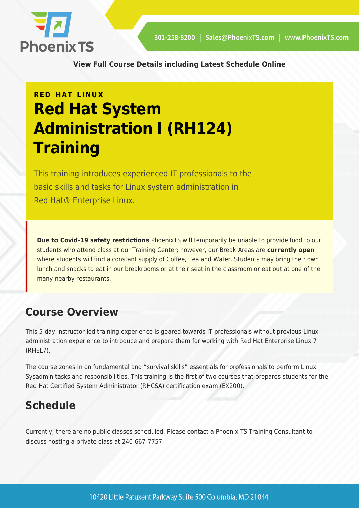

**[View Full Course Details including Latest Schedule Online](https://phoenixts.com/training-courses/red-hat-system-administration-1-rh124/)**

# **RED HAT LINUX Red Hat System Administration I (RH124) Training**

This training introduces experienced IT professionals to the basic skills and tasks for Linux system administration in Red Hat® Enterprise Linux.

**Due to Covid-19 safety restrictions** PhoenixTS will temporarily be unable to provide food to our students who attend class at our Training Center; however, our Break Areas are **currently open** where students will find a constant supply of Coffee, Tea and Water. Students may bring their own lunch and snacks to eat in our breakrooms or at their seat in the classroom or eat out at one of the many nearby restaurants.

# **Course Overview**

This 5-day instructor-led training experience is geared towards IT professionals without previous Linux administration experience to introduce and prepare them for working with Red Hat Enterprise Linux 7 (RHEL7).

The course zones in on fundamental and "survival skills" essentials for professionals to perform Linux Sysadmin tasks and responsibilities. This training is the first of two courses that prepares students for the Red Hat Certified System Administrator (RHCSA) certification exam (EX200).

# **Schedule**

Currently, there are no public classes scheduled. Please contact a Phoenix TS Training Consultant to discuss hosting a private class at 240-667-7757.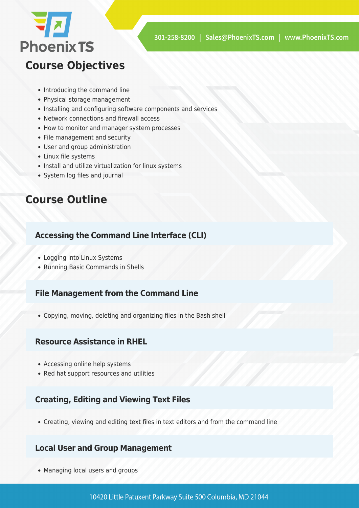

### **Course Objectives**

- Introducing the command line
- Physical storage management
- Installing and configuring software components and services
- Network connections and firewall access
- How to monitor and manager system processes
- File management and security
- User and group administration
- Linux file systems
- Install and utilize virtualization for linux systems
- System log files and journal

### **Course Outline**

#### **Accessing the Command Line Interface (CLI)**

- Logging into Linux Systems
- Running Basic Commands in Shells

#### **File Management from the Command Line**

Copying, moving, deleting and organizing files in the Bash shell

#### **Resource Assistance in RHEL**

- Accessing online help systems
- Red hat support resources and utilities

#### **Creating, Editing and Viewing Text Files**

Creating, viewing and editing text files in text editors and from the command line

#### **Local User and Group Management**

Managing local users and groups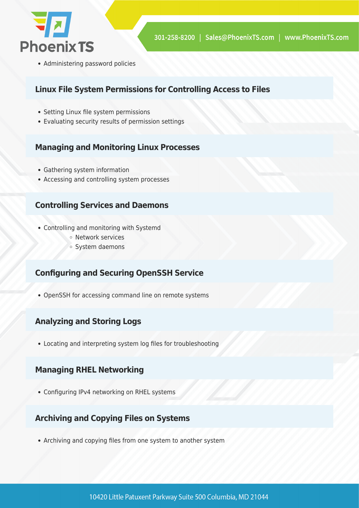

Administering password policies

#### **Linux File System Permissions for Controlling Access to Files**

- Setting Linux file system permissions
- Evaluating security results of permission settings

#### **Managing and Monitoring Linux Processes**

- Gathering system information
- Accessing and controlling system processes

#### **Controlling Services and Daemons**

- Controlling and monitoring with Systemd
	- o Network services
	- o System daemons

#### **Configuring and Securing OpenSSH Service**

OpenSSH for accessing command line on remote systems

#### **Analyzing and Storing Logs**

Locating and interpreting system log files for troubleshooting

#### **Managing RHEL Networking**

Configuring IPv4 networking on RHEL systems

#### **Archiving and Copying Files on Systems**

• Archiving and copying files from one system to another system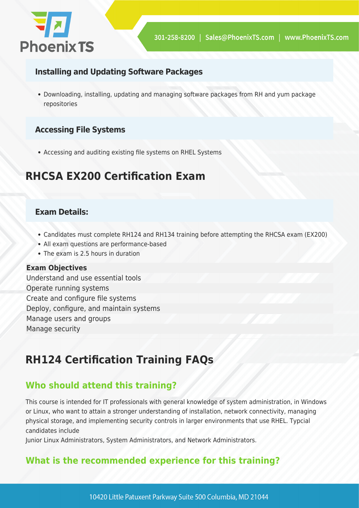

#### **Installing and Updating Software Packages**

Downloading, installing, updating and managing software packages from RH and yum package repositories

#### **Accessing File Systems**

Accessing and auditing existing file systems on RHEL Systems

### **RHCSA EX200 Certification Exam**

#### **Exam Details:**

- Candidates must complete RH124 and RH134 training before attempting the RHCSA exam (EX200)
- All exam questions are performance-based
- The exam is 2.5 hours in duration

#### **Exam Objectives**

Understand and use essential tools Operate running systems Create and configure file systems Deploy, configure, and maintain systems Manage users and groups Manage security

# **RH124 Certification Training FAQs**

### **Who should attend this training?**

This course is intended for IT professionals with general knowledge of system administration, in Windows or Linux, who want to attain a stronger understanding of installation, network connectivity, managing physical storage, and implementing security controls in larger environments that use RHEL. Typcial candidates include

Junior Linux Administrators, System Administrators, and Network Administrators.

### **What is the recommended experience for this training?**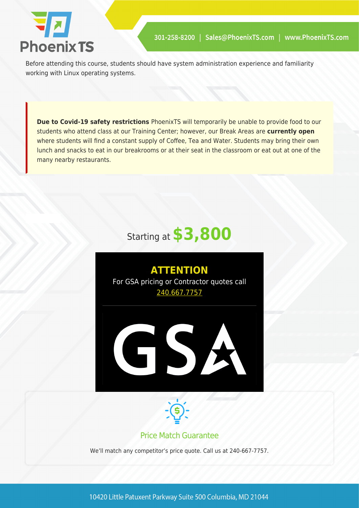

Before attending this course, students should have system administration experience and familiarity working with Linux operating systems.

**Due to Covid-19 safety restrictions** PhoenixTS will temporarily be unable to provide food to our students who attend class at our Training Center; however, our Break Areas are **currently open** where students will find a constant supply of Coffee, Tea and Water. Students may bring their own lunch and snacks to eat in our breakrooms or at their seat in the classroom or eat out at one of the many nearby restaurants.

# Starting at **\$3,800**





Price Match Guarantee

We'll match any competitor's price quote. Call us at 240-667-7757.

10420 Little Patuxent Parkway Suite 500 Columbia, MD 21044